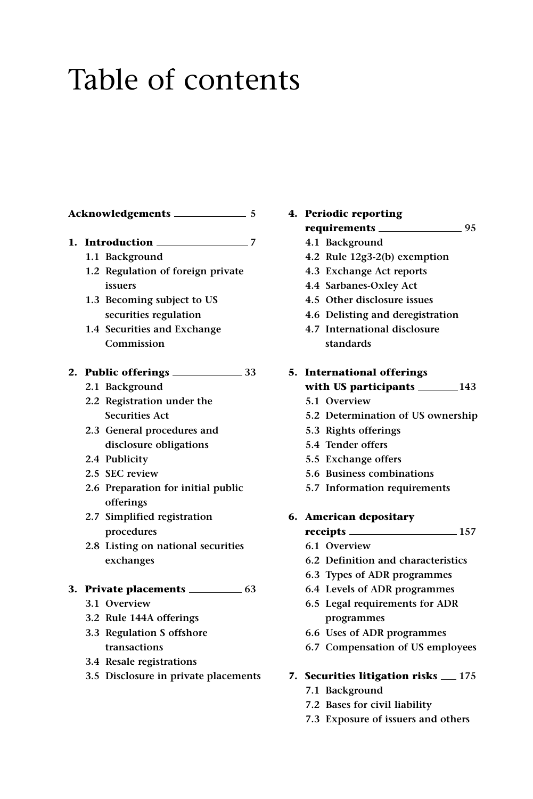## Table of contents

| 1. |  | Introduction 2008 2012               |
|----|--|--------------------------------------|
|    |  | 1.1 Background                       |
|    |  | 1.2 Regulation of foreign private    |
|    |  | issuers                              |
|    |  | 1.3 Becoming subject to US           |
|    |  | securities regulation                |
|    |  | 1.4 Securities and Exchange          |
|    |  | Commission                           |
|    |  |                                      |
|    |  | 2.1 Background                       |
|    |  | 2.2 Registration under the           |
|    |  | <b>Securities Act</b>                |
|    |  | 2.3 General procedures and           |
|    |  | disclosure obligations               |
|    |  | 2.4 Publicity                        |
|    |  | 2.5 SEC review                       |
|    |  | 2.6 Preparation for initial public   |
|    |  | offerings                            |
|    |  | 2.7 Simplified registration          |
|    |  | procedures                           |
|    |  | 2.8 Listing on national securities   |
|    |  | exchanges                            |
|    |  |                                      |
|    |  | 3.1 Overview                         |
|    |  | 3.2 Rule 144A offerings              |
|    |  | 3.3 Regulation S offshore            |
|    |  | transactions                         |
|    |  | 3.4 Resale registrations             |
|    |  | 3.5 Disclosure in private placements |
|    |  |                                      |

## **4. Periodic reporting requirements 95 4.1 Background 4.2 Rule 12g3-2(b) exemption**

- **4.3 Exchange Act reports**
- **4.4 Sarbanes-Oxley Act**
- **4.5 Other disclosure issues**
- **4.6 Delisting and deregistration**
- **4.7 International disclosure standards**

## **5. International offerings with US participants 143**

- **5.1 Overview**
- **5.2 Determination of US ownership**
- **5.3 Rights offerings**
- **5.4 Tender offers**
- **5.5 Exchange offers**
- **5.6 Business combinations**
- **5.7 Information requirements**
- **6. American depositary** 
	- **receipts 157**
	- **6.1 Overview**
	- **6.2 Definition and characteristics**
	- **6.3 Types of ADR programmes**
	- **6.4 Levels of ADR programmes**
	- **6.5 Legal requirements for ADR programmes**
	- **6.6 Uses of ADR programmes**
	- **6.7 Compensation of US employees**
- **7. Securities litigation risks 175**
	- **7.1 Background**
	- **7.2 Bases for civil liability**
	- **7.3 Exposure of issuers and others**